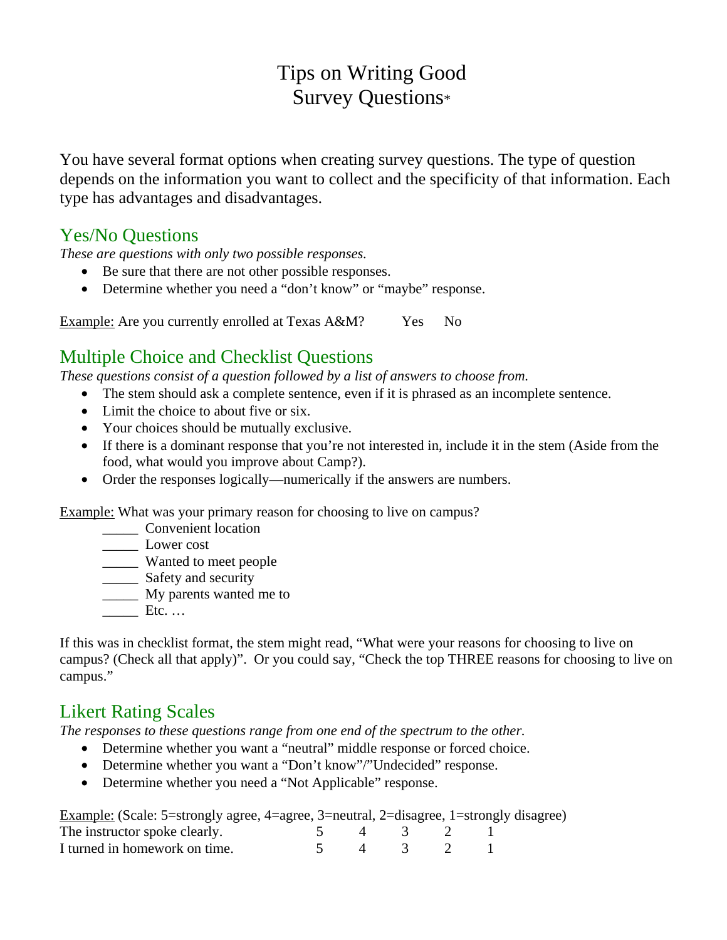# Tips on Writing Good Survey Questions\*

You have several format options when creating survey questions. The type of question depends on the information you want to collect and the specificity of that information. Each type has advantages and disadvantages.

#### Yes/No Questions

*These are questions with only two possible responses.* 

- Be sure that there are not other possible responses.
- Determine whether you need a "don't know" or "maybe" response.

Example: Are you currently enrolled at Texas A&M? Yes No

## Multiple Choice and Checklist Questions

*These questions consist of a question followed by a list of answers to choose from.* 

- The stem should ask a complete sentence, even if it is phrased as an incomplete sentence.
- Limit the choice to about five or six.
- Your choices should be mutually exclusive.
- If there is a dominant response that you're not interested in, include it in the stem (Aside from the food, what would you improve about Camp?).
- Order the responses logically—numerically if the answers are numbers.

Example: What was your primary reason for choosing to live on campus?

- \_\_\_\_\_ Convenient location
- \_\_\_\_\_ Lower cost
- \_\_\_\_\_ Wanted to meet people
- \_\_\_\_\_\_\_ Safety and security
- **My parents wanted me to**
- $Etc.$  …

If this was in checklist format, the stem might read, "What were your reasons for choosing to live on campus? (Check all that apply)". Or you could say, "Check the top THREE reasons for choosing to live on campus."

# Likert Rating Scales

*The responses to these questions range from one end of the spectrum to the other.* 

- Determine whether you want a "neutral" middle response or forced choice.
- Determine whether you want a "Don't know"/"Undecided" response.
- Determine whether you need a "Not Applicable" response.

| Example: (Scale: 5=strongly agree, 4=agree, 3=neutral, 2=disagree, 1=strongly disagree) |  |         |  |  |
|-----------------------------------------------------------------------------------------|--|---------|--|--|
| The instructor spoke clearly.                                                           |  | 4 3 2   |  |  |
| I turned in homework on time.                                                           |  | 4 3 2 1 |  |  |